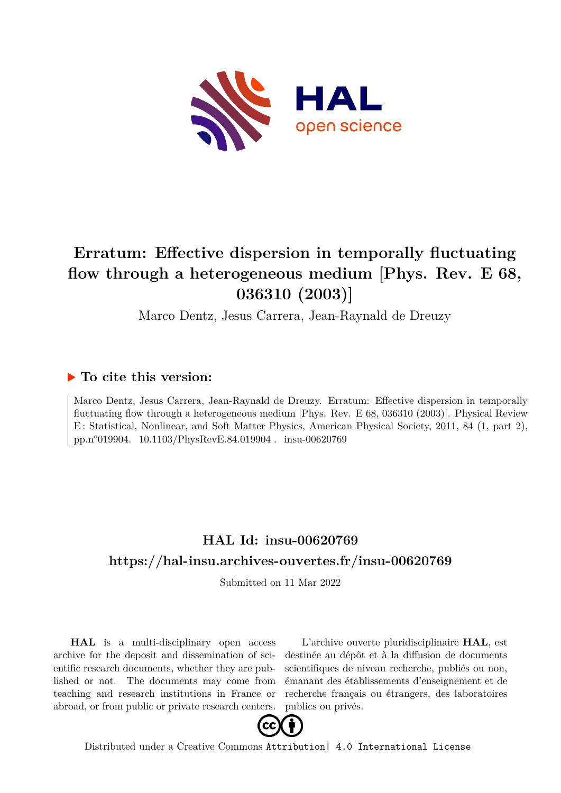

## **Erratum: Effective dispersion in temporally fluctuating flow through a heterogeneous medium [Phys. Rev. E 68, 036310 (2003)]**

Marco Dentz, Jesus Carrera, Jean-Raynald de Dreuzy

## **To cite this version:**

Marco Dentz, Jesus Carrera, Jean-Raynald de Dreuzy. Erratum: Effective dispersion in temporally fluctuating flow through a heterogeneous medium [Phys. Rev. E 68, 036310 (2003)]. Physical Review E : Statistical, Nonlinear, and Soft Matter Physics, American Physical Society, 2011, 84 (1, part 2), pp.n°019904. 10.1103/PhysRevE.84.019904. insu-00620769

## **HAL Id: insu-00620769 <https://hal-insu.archives-ouvertes.fr/insu-00620769>**

Submitted on 11 Mar 2022

**HAL** is a multi-disciplinary open access archive for the deposit and dissemination of scientific research documents, whether they are published or not. The documents may come from teaching and research institutions in France or abroad, or from public or private research centers.

L'archive ouverte pluridisciplinaire **HAL**, est destinée au dépôt et à la diffusion de documents scientifiques de niveau recherche, publiés ou non, émanant des établissements d'enseignement et de recherche français ou étrangers, des laboratoires publics ou privés.



Distributed under a Creative Commons [Attribution| 4.0 International License](http://creativecommons.org/licenses/by/4.0/)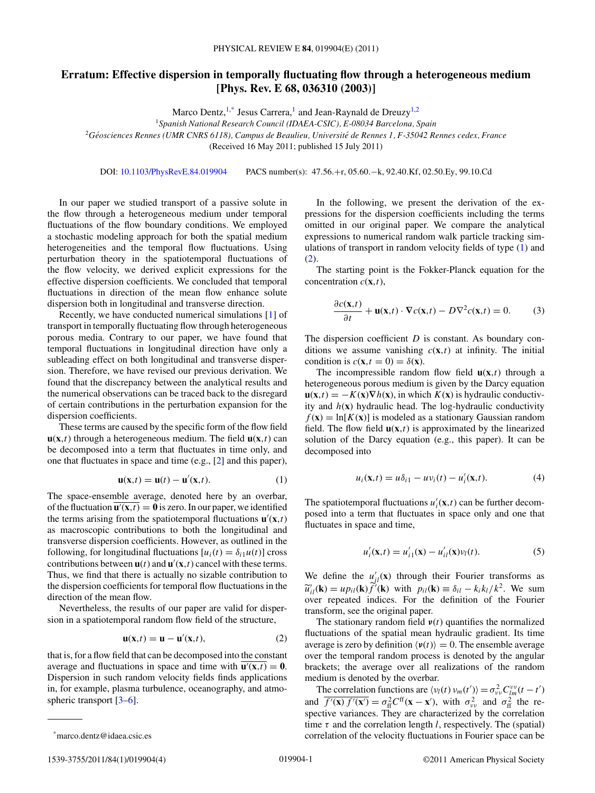## **Erratum: Effective dispersion in temporally fluctuating flow through a heterogeneous medium [Phys. Rev. E 68, 036310 (2003)]**

Marco Dentz,  $1$ <sup>\*</sup>, Jesus Carrera,<sup>1</sup> and Jean-Raynald de Dreuzy<sup>1,2</sup>

<sup>1</sup>*Spanish National Research Council (IDAEA-CSIC), E-08034 Barcelona, Spain*

<sup>2</sup>*Geosciences Rennes (UMR CNRS 6118), Campus de Beaulieu, Universit ´ e de Rennes 1, F-35042 Rennes cedex, France ´*

(Received 16 May 2011; published 15 July 2011)

DOI: [10.1103/PhysRevE.84.019904](http://dx.doi.org/10.1103/PhysRevE.84.019904) PACS number(s): 47*.*56*.*+r, 05*.*60*.*−k, 92*.*40*.*Kf, 02*.*50*.*Ey, 99*.*10*.*Cd

In our paper we studied transport of a passive solute in the flow through a heterogeneous medium under temporal fluctuations of the flow boundary conditions. We employed a stochastic modeling approach for both the spatial medium heterogeneities and the temporal flow fluctuations. Using perturbation theory in the spatiotemporal fluctuations of the flow velocity, we derived explicit expressions for the effective dispersion coefficients. We concluded that temporal fluctuations in direction of the mean flow enhance solute dispersion both in longitudinal and transverse direction.

Recently, we have conducted numerical simulations [1] of transport in temporally fluctuating flow through heterogeneous porous media. Contrary to our paper, we have found that temporal fluctuations in longitudinal direction have only a subleading effect on both longitudinal and transverse dispersion. Therefore, we have revised our previous derivation. We found that the discrepancy between the analytical results and the numerical observations can be traced back to the disregard of certain contributions in the perturbation expansion for the dispersion coefficients.

These terms are caused by the specific form of the flow field  $\mathbf{u}(\mathbf{x},t)$  through a heterogeneous medium. The field  $\mathbf{u}(\mathbf{x},t)$  can be decomposed into a term that fluctuates in time only, and one that fluctuates in space and time (e.g., [2] and this paper),

$$
\mathbf{u}(\mathbf{x},t) = \mathbf{u}(t) - \mathbf{u}'(\mathbf{x},t). \tag{1}
$$

The space-ensemble average, denoted here by an overbar, of the fluctuation  $\mathbf{u}'(\mathbf{x},t) = \mathbf{0}$  is zero. In our paper, we identified the terms arising from the spatiotemporal fluctuations  $\mathbf{u}'(\mathbf{x},t)$ as macroscopic contributions to both the longitudinal and transverse dispersion coefficients. However, as outlined in the following, for longitudinal fluctuations  $[u_i(t) = \delta_{i1}u(t)]$  cross contributions between  $\mathbf{u}(t)$  and  $\mathbf{u}'(\mathbf{x},t)$  cancel with these terms. Thus, we find that there is actually no sizable contribution to the dispersion coefficients for temporal flow fluctuations in the direction of the mean flow.

Nevertheless, the results of our paper are valid for dispersion in a spatiotemporal random flow field of the structure,

$$
\mathbf{u}(\mathbf{x},t) = \mathbf{u} - \mathbf{u}'(\mathbf{x},t),\tag{2}
$$

that is, for a flow field that can be decomposed into the constant average and fluctuations in space and time with  $\mathbf{u}'(\mathbf{x},t) = \mathbf{0}$ . Dispersion in such random velocity fields finds applications in, for example, plasma turbulence, oceanography, and atmospheric transport [3–6].

In the following, we present the derivation of the expressions for the dispersion coefficients including the terms omitted in our original paper. We compare the analytical expressions to numerical random walk particle tracking simulations of transport in random velocity fields of type (1) and (2).

The starting point is the Fokker-Planck equation for the concentration *c*(**x***,t*),

$$
\frac{\partial c(\mathbf{x},t)}{\partial t} + \mathbf{u}(\mathbf{x},t) \cdot \nabla c(\mathbf{x},t) - D \nabla^2 c(\mathbf{x},t) = 0.
$$
 (3)

The dispersion coefficient *D* is constant. As boundary conditions we assume vanishing  $c(\mathbf{x},t)$  at infinity. The initial condition is  $c(\mathbf{x}, t = 0) = \delta(\mathbf{x})$ .

The incompressible random flow field  $\mathbf{u}(\mathbf{x},t)$  through a heterogeneous porous medium is given by the Darcy equation  $\mathbf{u}(\mathbf{x},t) = -K(\mathbf{x})\nabla h(\mathbf{x})$ , in which  $K(\mathbf{x})$  is hydraulic conductivity and *h*(**x**) hydraulic head. The log-hydraulic conductivity  $f(\mathbf{x}) = \ln[K(\mathbf{x})]$  is modeled as a stationary Gaussian random field. The flow field  $\mathbf{u}(\mathbf{x},t)$  is approximated by the linearized solution of the Darcy equation (e.g., this paper). It can be decomposed into

$$
u_i(\mathbf{x},t) = u\delta_{i1} - uv_i(t) - u'_i(\mathbf{x},t). \tag{4}
$$

The spatiotemporal fluctuations  $u_i'(\mathbf{x},t)$  can be further decomposed into a term that fluctuates in space only and one that fluctuates in space and time,

$$
u'_{i}(\mathbf{x},t) = u'_{i1}(\mathbf{x}) - u'_{i}( \mathbf{x}) v_{i}(t).
$$
 (5)

We define the  $u'_{il}(\mathbf{x})$  through their Fourier transforms as  $u_{il}(\mathbf{x}) = u_{l}u(\mathbf{x})$  (**x**) with  $p_{il}(\mathbf{x}) = v_{il} - u_{l}u_{l}$  (**x**) with  $v_{il}$  $\widetilde{u}'_{il}(\mathbf{k}) = up_{il}(\mathbf{k}) \widetilde{f}'(\mathbf{k})$  with  $p_{il}(\mathbf{k}) \equiv \delta_{il} - k_i k_l / k^2$ . We sum transform, see the original paper.

The stationary random field *ν*(*t*) quantifies the normalized fluctuations of the spatial mean hydraulic gradient. Its time average is zero by definition  $\langle v(t) \rangle = 0$ . The ensemble average over the temporal random process is denoted by the angular brackets; the average over all realizations of the random medium is denoted by the overbar.

The correlation functions are  $\langle v_l(t) v_m(t') \rangle = \sigma_{vv}^2 C_{lm}^{vv}(t-t')$ and  $\overline{f'(x) f'(x')} = \sigma_{ff}^2 C^{ff}(x - x')$ , with  $\sigma_{yy}^2$  and  $\sigma_{ff}^2$  the respective variances. They are characterized by the correlation time  $\tau$  and the correlation length *l*, respectively. The (spatial) correlation of the velocity fluctuations in Fourier space can be

<sup>\*</sup>marco.dentz@idaea.csic.es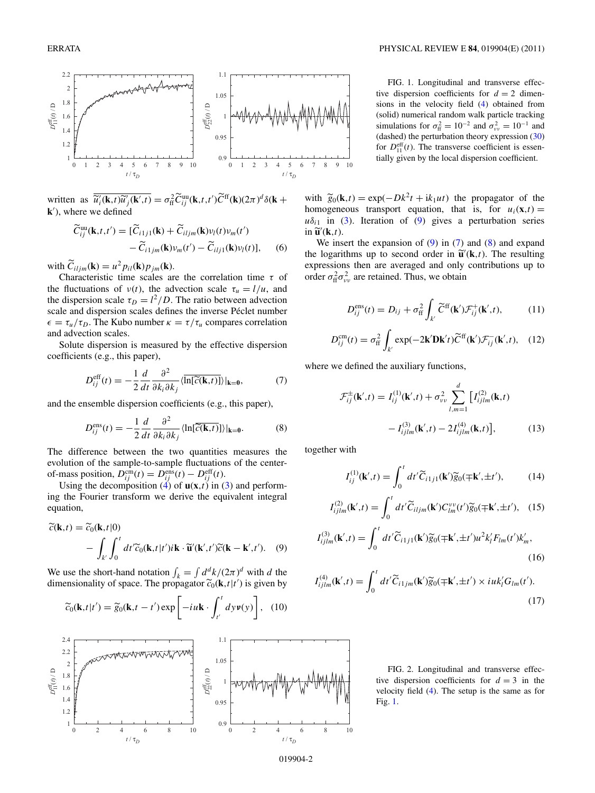

written as  $\overline{\widetilde{u}_i'(\mathbf{k},t)\widetilde{u}_j'(\mathbf{k}',t)} = \sigma_{\text{ff}}^2 \widetilde{C}_{ij}^{\text{uu}}(\mathbf{k},t,t')\widetilde{C}^{\text{ff}}(\mathbf{k})(2\pi)^d \delta(\mathbf{k} + \mathbf{k})$ **k**<sup>'</sup>), where we defined

$$
\widetilde{C}_{ij}^{\text{uu}}(\mathbf{k},t,t') = [\widetilde{C}_{i1j1}(\mathbf{k}) + \widetilde{C}_{iljm}(\mathbf{k})\nu_l(t)\nu_m(t')-\widetilde{C}_{i1jm}(\mathbf{k})\nu_m(t') - \widetilde{C}_{ilj1}(\mathbf{k})\nu_l(t)], \quad (6)
$$

with  $\tilde{C}_{iljm}(\mathbf{k}) = u^2 p_{il}(\mathbf{k}) p_{jm}(\mathbf{k}).$ 

Characteristic time scales are the correlation time *τ* of the fluctuations of  $v(t)$ , the advection scale  $\tau_u = l/u$ , and the dispersion scale  $\tau_D = l^2/D$ . The ratio between advection scale and dispersion scales defines the inverse Péclet number  $\epsilon = \tau_u/\tau_D$ . The Kubo number  $\kappa = \tau/\tau_u$  compares correlation and advection scales.

Solute dispersion is measured by the effective dispersion coefficients (e.g., this paper),

$$
D_{ij}^{\text{eff}}(t) = -\frac{1}{2} \frac{d}{dt} \frac{\partial^2}{\partial k_i \partial k_j} \langle \overline{\ln[\widetilde{c}(\mathbf{k}, t)]} \rangle |_{\mathbf{k} = \mathbf{0}},\tag{7}
$$

and the ensemble dispersion coefficients (e.g., this paper),

$$
D_{ij}^{\text{ens}}(t) = -\frac{1}{2} \frac{d}{dt} \frac{\partial^2}{\partial k_i \partial k_j} \langle \ln[\overline{\widetilde{c}(\mathbf{k}, t)}] \rangle |_{\mathbf{k} = \mathbf{0}}.
$$
 (8)

The difference between the two quantities measures the evolution of the sample-to-sample fluctuations of the centerof-mass position,  $D_{ij}^{\text{cm}}(t) = D_{ij}^{\text{ens}}(t) - D_{ij}^{\text{eff}}(t)$ .

Using the decomposition  $(4)$  of  $\mathbf{u}(\mathbf{x},t)$  in (3) and performing the Fourier transform we derive the equivalent integral equation,

$$
\widetilde{c}(\mathbf{k},t) = \widetilde{c}_0(\mathbf{k},t|0) \n- \int_{k'} \int_0^t dt' \widetilde{c}_0(\mathbf{k},t|t') i \mathbf{k} \cdot \widetilde{\mathbf{u}}'(\mathbf{k}',t') \widetilde{c}(\mathbf{k}-\mathbf{k}',t'). \quad (9)
$$

We use the short-hand notation  $\int_k = \int d^d k / (2\pi)^d$  with *d* the dimensionality of space. The propagator  $\widetilde{c}_0(\mathbf{k}, t|t')$  is given by





FIG. 1. Longitudinal and transverse effective dispersion coefficients for  $d = 2$  dimensions in the velocity field (4) obtained from (solid) numerical random walk particle tracking simulations for  $\sigma_{\text{ff}}^2 = 10^{-2}$  and  $\sigma_{\text{vv}}^2 = 10^{-1}$  and (dashed) the perturbation theory expression (30) for  $D_{11}^{\text{eff}}(t)$ . The transverse coefficient is essentially given by the local dispersion coefficient.

with  $\widetilde{g}_0(\mathbf{k}, t) = \exp(-Dk^2t + ik_1ut)$  the propagator of the homogeneous transport equation, that is, for  $u_i(\mathbf{x},t) =$  $u\delta_{i1}$  in (3). Iteration of (9) gives a perturbation series  $\widetilde{\mathbf{u}}'(\mathbf{k},t)$ .

We insert the expansion of  $(9)$  in  $(7)$  and  $(8)$  and expand the logarithms up to second order in  $\tilde{\mathbf{u}}'(\mathbf{k},t)$ . The resulting<br>connections then are suggested and only contributions up to expressions then are averaged and only contributions up to order  $\sigma_{\text{ff}}^2 \sigma_{\nu\nu}^2$  are retained. Thus, we obtain

$$
D_{ij}^{\text{ens}}(t) = D_{ij} + \sigma_{\text{ff}}^2 \int_{k'} \widetilde{C}^{\text{ff}}(\mathbf{k'}) \mathcal{F}_{ij}^+(\mathbf{k'}, t), \qquad (11)
$$

$$
D_{ij}^{\rm cm}(t) = \sigma_{\rm ff}^2 \int_{k'} \exp(-2\mathbf{k'} \mathbf{D} \mathbf{k'} t) \widetilde{C}^{\rm ff}(\mathbf{k'}) \mathcal{F}_{ij}^-(\mathbf{k'}, t), \quad (12)
$$

where we defined the auxiliary functions,

$$
\mathcal{F}_{ij}^{\pm}(\mathbf{k}',t) = I_{ij}^{(1)}(\mathbf{k}',t) + \sigma_{vv}^2 \sum_{l,m=1}^d \left[ I_{ijlm}^{(2)}(\mathbf{k},t) - I_{ijlm}^{(3)}(\mathbf{k}',t) - 2I_{ijlm}^{(4)}(\mathbf{k},t) \right],
$$
\n(13)

together with

$$
I_{ij}^{(1)}(\mathbf{k}',t) = \int_0^t dt' \widetilde{C}_{i1j1}(\mathbf{k}') \widetilde{g}_0(\mp \mathbf{k}', \pm t'), \qquad (14)
$$

$$
I_{ijlm}^{(2)}(\mathbf{k}',t) = \int_0^t dt' \widetilde{C}_{iljm}(\mathbf{k}') C_{lm}^{\nu\nu}(t') \widetilde{g}_0(\mp \mathbf{k}', \pm t'), \quad (15)
$$

$$
I_{ijlm}^{(3)}(\mathbf{k}',t) = \int_0^t dt' \widetilde{C}_{i1j1}(\mathbf{k}') \widetilde{g}_0(\mp \mathbf{k}', \pm t') u^2 k'_l F_{lm}(t') k'_m,
$$
\n(16)

$$
I_{ijlm}^{(4)}(\mathbf{k}',t) = \int_0^t dt' \widetilde{C}_{i1jm}(\mathbf{k}') \widetilde{g}_0(\mp \mathbf{k}', \pm t') \times i u k'_l G_{lm}(t').
$$
\n(17)

FIG. 2. Longitudinal and transverse effective dispersion coefficients for  $d = 3$  in the velocity field (4). The setup is the same as for Fig. 1.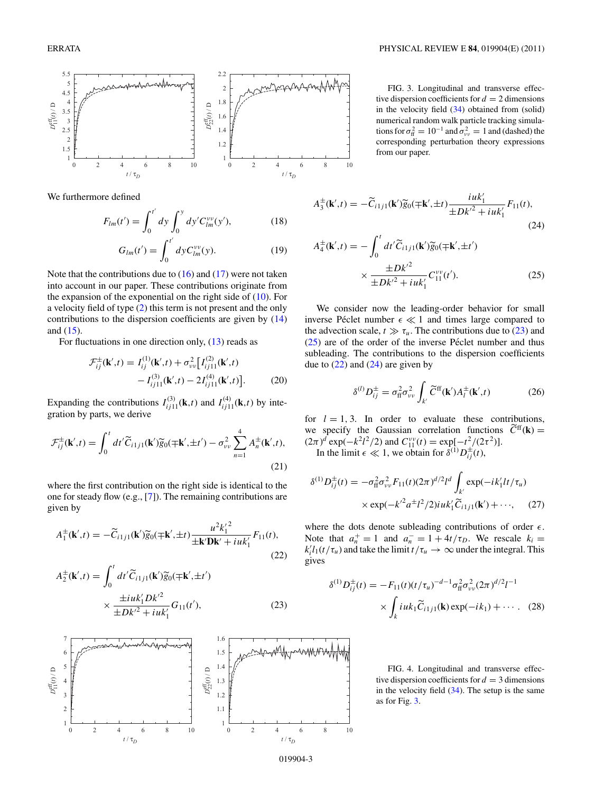

We furthermore defined

$$
F_{lm}(t') = \int_0^{t'} dy \int_0^y dy' C_{lm}^{\nu\nu}(y'), \qquad (18)
$$

$$
G_{lm}(t') = \int_0^{t'} dy C_{lm}^{\nu \nu}(y).
$$
 (19)

Note that the contributions due to  $(16)$  and  $(17)$  were not taken into account in our paper. These contributions originate from the expansion of the exponential on the right side of  $(10)$ . For a velocity field of type (2) this term is not present and the only contributions to the dispersion coefficients are given by (14) and (15).

For fluctuations in one direction only, (13) reads as

$$
\mathcal{F}_{ij}^{\pm}(\mathbf{k}',t) = I_{ij}^{(1)}(\mathbf{k}',t) + \sigma_{vv}^{2} \left[ I_{ij11}^{(2)}(\mathbf{k}',t) - I_{ij11}^{(3)}(\mathbf{k}',t) - 2I_{ij11}^{(4)}(\mathbf{k}',t) \right].
$$
\n(20)

Expanding the contributions  $I_{ij11}^{(3)}(\mathbf{k},t)$  and  $I_{ij11}^{(4)}(\mathbf{k},t)$  by integration by parts, we derive

$$
\mathcal{F}_{ij}^{\pm}(\mathbf{k}',t) = \int_0^t dt' \widetilde{C}_{i1j1}(\mathbf{k}') \widetilde{g}_0(\mp \mathbf{k}', \pm t') - \sigma_{\nu\nu}^2 \sum_{n=1}^4 A_n^{\pm}(\mathbf{k}',t),
$$
\n(21)

where the first contribution on the right side is identical to the one for steady flow (e.g., [7]). The remaining contributions are given by

$$
A_1^{\pm}(\mathbf{k}',t) = -\widetilde{C}_{i1j1}(\mathbf{k}')\widetilde{g}_0(\mp \mathbf{k}', \pm t) \frac{u^2 k_1'^2}{\pm \mathbf{k}' \mathbf{D} \mathbf{k}' + i u k_1'} F_{11}(t),\tag{22}
$$

$$
A_2^{\pm}(\mathbf{k}',t) = \int_0^t dt' \widetilde{C}_{i1j1}(\mathbf{k}') \widetilde{g}_0(\mp \mathbf{k}', \pm t')
$$

$$
\times \frac{\pm iuk'_1 Dk'^2}{\pm Dk'^2 + iuk'_1} G_{11}(t'), \tag{23}
$$



FIG. 3. Longitudinal and transverse effective dispersion coefficients for  $d = 2$  dimensions in the velocity field  $(34)$  obtained from (solid) numerical random walk particle tracking simulations for  $\sigma_{\text{ff}}^2 = 10^{-1}$  and  $\sigma_{\text{vv}}^2 = 1$  and (dashed) the corresponding perturbation theory expressions from our paper.

$$
A_3^{\pm}(\mathbf{k}',t) = -\widetilde{C}_{i1j1}(\mathbf{k}')\widetilde{g}_0(\mp \mathbf{k}', \pm t) \frac{iuk'_1}{\pm Dk'^2 + iuk'_1} F_{11}(t),\tag{24}
$$

$$
A_4^{\pm}(\mathbf{k}',t) = -\int_0^t dt' \widetilde{C}_{i1j1}(\mathbf{k}') \widetilde{g}_0(\mp \mathbf{k}', \pm t')
$$
  
 
$$
\times \frac{\pm Dk'^2}{\pm Dk'^2 + iuk'_1} C_{11}^{\nu\nu}(t'). \tag{25}
$$

We consider now the leading-order behavior for small inverse Péclet number  $\epsilon \ll 1$  and times large compared to the advection scale,  $t \gg \tau_u$ . The contributions due to (23) and  $(25)$  are of the order of the inverse Péclet number and thus subleading. The contributions to the dispersion coefficients due to  $(22)$  and  $(24)$  are given by

$$
\delta^{(l)} D_{ij}^{\pm} = \sigma_{\rm ff}^2 \sigma_{\nu\nu}^2 \int_{k'} \widetilde{C}^{\rm ff}(\mathbf{k}') A_l^{\pm}(\mathbf{k}',t) \tag{26}
$$

for  $l = 1, 3$ . In order to evaluate these contributions, we specify the Gaussian correlation functions  $\widetilde{C}^{ff}(\mathbf{k}) =$  $(2\pi)^d \exp(-k^2 l^2/2)$  and  $C_{11}^{\nu\nu}(t) = \exp[-t^2/(2\tau^2)].$ 

In the limit  $\epsilon \ll 1$ , we obtain for  $\delta^{(1)}D_{ij}^{\pm}(t)$ ,

$$
\delta^{(1)}D_{ij}^{\pm}(t) = -\sigma_{\text{ff}}^2 \sigma_{\nu\nu}^2 F_{11}(t)(2\pi)^{d/2} l^d \int_{k'} \exp(-ik_1' l t/\tau_u) \times \exp(-k'^2 a^{\pm} l^2/2) i u k_1' \widetilde{C}_{i1j1}(\mathbf{k}') + \cdots, \quad (27)
$$

where the dots denote subleading contributions of order  $\epsilon$ . Note that  $a_n^+ = 1$  and  $a_n^- = 1 + 4t/\tau_D$ . We rescale  $k_i =$  $k_i^{\prime} l_1(t/\tau_u)$  and take the limit  $t/\tau_u \to \infty$  under the integral. This gives

$$
\delta^{(1)}D_{ij}^{\pm}(t) = -F_{11}(t)(t/\tau_u)^{-d-1}\sigma_{\text{ff}}^2\sigma_{\nu\nu}^2(2\pi)^{d/2}l^{-1}
$$

$$
\times \int_k i u k_1 \widetilde{C}_{i1j1}(\mathbf{k}) \exp(-ik_1) + \cdots. \quad (28)
$$

FIG. 4. Longitudinal and transverse effective dispersion coefficients for  $d = 3$  dimensions in the velocity field  $(34)$ . The setup is the same as for Fig. 3.